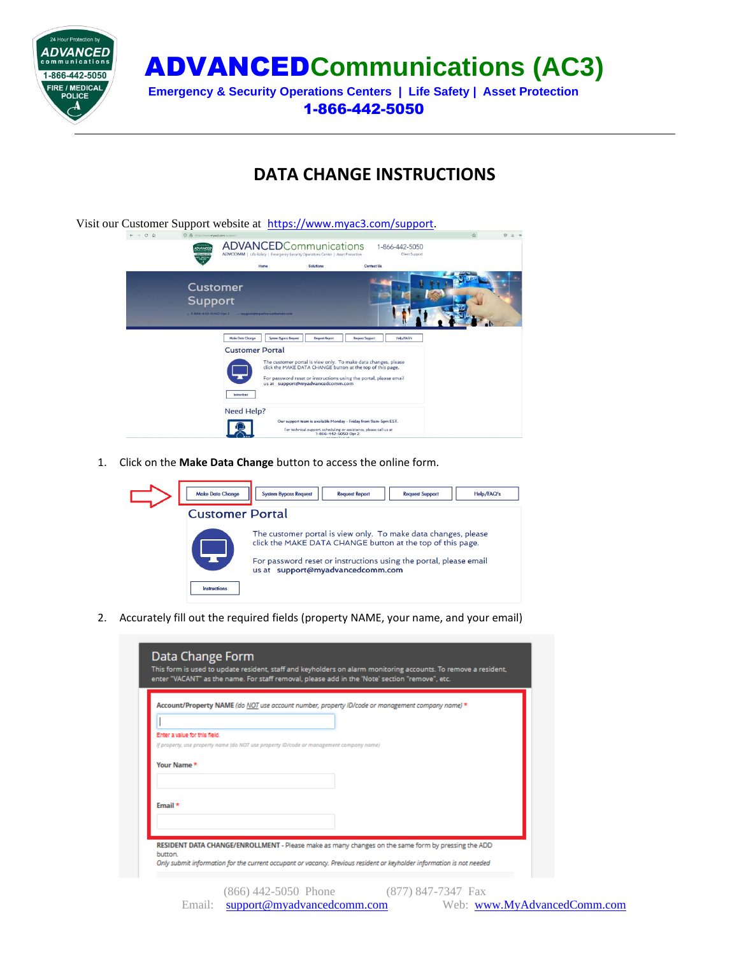

ADVANCED**Communications (AC3)**

**Emergency & Security Operations Centers | Life Safety | Asset Protection** 1-866-442-5050

## **DATA CHANGE INSTRUCTIONS**



1. Click on the **Make Data Change** button to access the online form.



2. Accurately fill out the required fields (property NAME, your name, and your email)

|  | Account/Property NAME (do NOT use account number, property ID/code or management company name) * |  |
|--|--------------------------------------------------------------------------------------------------|--|
|  |                                                                                                  |  |
|  |                                                                                                  |  |
|  |                                                                                                  |  |
|  |                                                                                                  |  |
|  |                                                                                                  |  |
|  |                                                                                                  |  |
|  |                                                                                                  |  |
|  |                                                                                                  |  |
|  |                                                                                                  |  |
|  | If property, use property name (do NOT use property ID/code or management company name)          |  |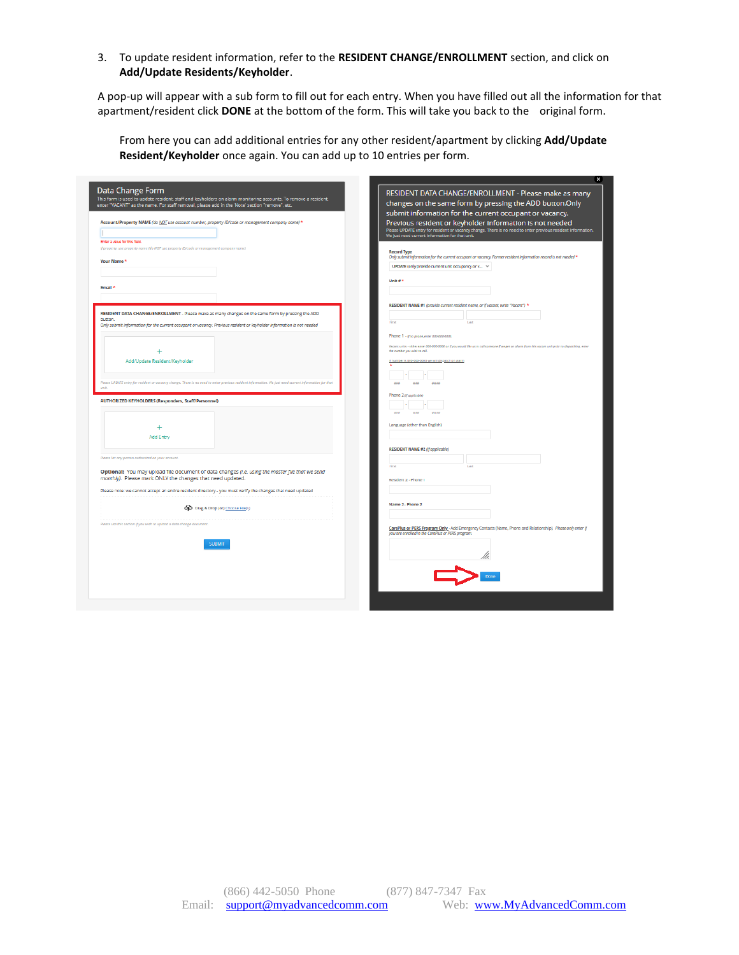## 3. To update resident information, refer to the **RESIDENT CHANGE/ENROLLMENT** section, and click on **Add/Update Residents/Keyholder**.

A pop-up will appear with a sub form to fill out for each entry. When you have filled out all the information for that apartment/resident click **DONE** at the bottom of the form. This will take you back to the original form.

From here you can add additional entries for any other resident/apartment by clicking **Add/Update Resident/Keyholder** once again. You can add up to 10 entries per form.

| Data Change Form<br>This form is used to update resident, staff and keyholders on alarm monitoring accounts. To remove a resident,<br>enter "VACANT" as the name. For staff removal, please add in the 'Note' section "remove", etc. | RESIDENT DATA CHANGE/ENROLLMENT - Please make as many<br>changes on the same form by pressing the ADD button.Only<br>submit information for the current occupant or vacancy. |
|--------------------------------------------------------------------------------------------------------------------------------------------------------------------------------------------------------------------------------------|------------------------------------------------------------------------------------------------------------------------------------------------------------------------------|
| Account/Property NAME (do NOT use account number, property ID/code or management company name) *                                                                                                                                     | Previous resident or keyholder information is not needed                                                                                                                     |
|                                                                                                                                                                                                                                      | Please UPDATE entry for resident or vacancy change. There is no need to enter previous resident information.<br>We just need current information for that unit.              |
| Enter a value for this field.                                                                                                                                                                                                        |                                                                                                                                                                              |
| If property, use property name (do NOT use property ID/code or management company name)                                                                                                                                              | <b>Record Type</b>                                                                                                                                                           |
| Your Name*                                                                                                                                                                                                                           | Only submit information for the current occupant or vacancy. Former resident information record is not needed *<br>UPDATE (only provide current unit occupancy or v >        |
| Email <sup>3</sup>                                                                                                                                                                                                                   | Unit $z^*$                                                                                                                                                                   |
|                                                                                                                                                                                                                                      |                                                                                                                                                                              |
| RESIDENT DATA CHANGE/ENROLLMENT - Please make as many changes on the same form by pressing the ADD                                                                                                                                   | RESIDENT NAME #1 (provide current resident name, or if vacant, write "Vacant") *                                                                                             |
| hutton                                                                                                                                                                                                                               | first<br>Last                                                                                                                                                                |
| Only submit information for the current occupant or vacancy. Previous resident or keyholder information is not needed                                                                                                                |                                                                                                                                                                              |
|                                                                                                                                                                                                                                      | Phone 1 - if no phone, enter 000-000-0000.                                                                                                                                   |
|                                                                                                                                                                                                                                      | Vacant units - either enter 000-000-0000 or if you would like us to call someone if we get on alorm from this vocant unit prior to disportiving, enter                       |
|                                                                                                                                                                                                                                      | the number you wish to call.                                                                                                                                                 |
| Add/Update Resident/Keyholder                                                                                                                                                                                                        | If number is 000-000-0000 we will dispatch on alarm                                                                                                                          |
|                                                                                                                                                                                                                                      |                                                                                                                                                                              |
| Please UPDATE entry for resident or vacancy change. There is no need to enter previous resident Information. We just need current information for that                                                                               | 444<br>444<br>44.44                                                                                                                                                          |
|                                                                                                                                                                                                                                      |                                                                                                                                                                              |
| <b>AUTHORIZED KEYHOLDERS (Responders, Staff/Personnel)</b>                                                                                                                                                                           | Phone 2 (f applicable)<br>664<br>444<br>6644                                                                                                                                 |
| <b>Add Entry</b>                                                                                                                                                                                                                     | Language (other than English)                                                                                                                                                |
|                                                                                                                                                                                                                                      | RESIDENT NAME #2 (If applicable)                                                                                                                                             |
| Please list any person authorized on your account.                                                                                                                                                                                   |                                                                                                                                                                              |
|                                                                                                                                                                                                                                      | First<br>Link                                                                                                                                                                |
| Optional: You may upload file document of data changes (i.e. using the master file that we send                                                                                                                                      |                                                                                                                                                                              |
| monthly). Please mark ONLY the changes that need updated.                                                                                                                                                                            | Resident 2 - Phone 1                                                                                                                                                         |
| Please note: we cannot accept an entire resident directory - you must verify the changes that need updated                                                                                                                           |                                                                                                                                                                              |
|                                                                                                                                                                                                                                      | Name 2 - Phone 2                                                                                                                                                             |
| Cp Drag & Drop (or) Choose File(s)                                                                                                                                                                                                   |                                                                                                                                                                              |
|                                                                                                                                                                                                                                      |                                                                                                                                                                              |
| Please use this section if you wish to upload a data change document.                                                                                                                                                                | CarePlus or PERS Program Only - Add Emergency Contacts (Name, Phone and Relationship). Please only enter if                                                                  |
|                                                                                                                                                                                                                                      | you are enrolled in the CarePlus or PERS program.                                                                                                                            |
| <b>SUBMIT</b>                                                                                                                                                                                                                        |                                                                                                                                                                              |
|                                                                                                                                                                                                                                      |                                                                                                                                                                              |
|                                                                                                                                                                                                                                      |                                                                                                                                                                              |
|                                                                                                                                                                                                                                      |                                                                                                                                                                              |
|                                                                                                                                                                                                                                      |                                                                                                                                                                              |
|                                                                                                                                                                                                                                      |                                                                                                                                                                              |
|                                                                                                                                                                                                                                      |                                                                                                                                                                              |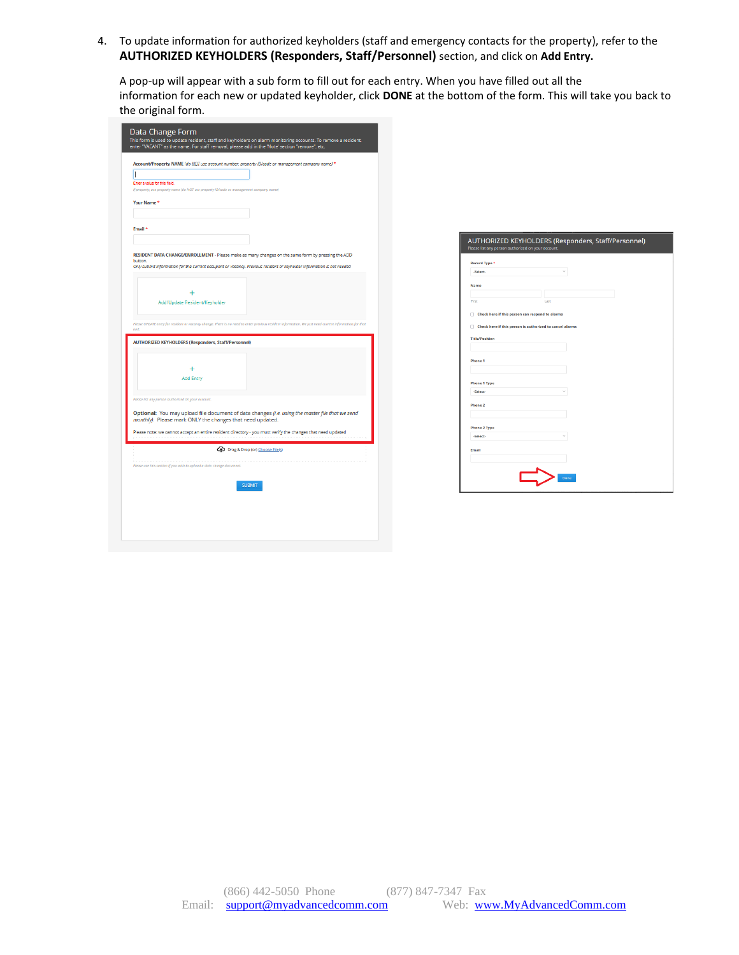4. To update information for authorized keyholders (staff and emergency contacts for the property), refer to the **AUTHORIZED KEYHOLDERS (Responders, Staff/Personnel)** section, and click on **Add Entry.**

A pop-up will appear with a sub form to fill out for each entry. When you have filled out all the information for each new or updated keyholder, click **DONE** at the bottom of the form. This will take you back to the original form.

|                               | Account/Property NAME (do NOT use account number, property ID/code or management company name) *                                                             |
|-------------------------------|--------------------------------------------------------------------------------------------------------------------------------------------------------------|
| I                             |                                                                                                                                                              |
| Enter a value for this field. |                                                                                                                                                              |
|                               | If property, use property name (do NOT use property ID/code or management company name)                                                                      |
| Your Name*                    |                                                                                                                                                              |
|                               |                                                                                                                                                              |
|                               |                                                                                                                                                              |
| Email *                       |                                                                                                                                                              |
|                               |                                                                                                                                                              |
|                               | RESIDENT DATA CHANGE/ENROLLMENT - Please make as many changes on the same form by pressing the ADD                                                           |
| button.                       | Only submit information for the current occupant or vacancy. Previous resident or keyholder information is not needed                                        |
|                               |                                                                                                                                                              |
|                               |                                                                                                                                                              |
|                               |                                                                                                                                                              |
|                               | Add/Update Resident/Keyholder                                                                                                                                |
|                               |                                                                                                                                                              |
| rank                          | Please UPDATE entry for resident or vacancy change. There is no need to enter previous resident information. We just need current information for that       |
|                               |                                                                                                                                                              |
|                               | <b>AUTHORIZED KEYHOLDERS (Responders, Staff/Personnel)</b>                                                                                                   |
|                               |                                                                                                                                                              |
|                               |                                                                                                                                                              |
|                               |                                                                                                                                                              |
|                               | <b>Add Entry</b>                                                                                                                                             |
|                               |                                                                                                                                                              |
|                               | Please list any person authorized on your account.                                                                                                           |
|                               |                                                                                                                                                              |
|                               | Optional: You may upload file document of data changes (i.e. using the master file that we send<br>monthly). Please mark ONLY the changes that need updated. |
|                               |                                                                                                                                                              |
|                               | Please note: we cannot accept an entire resident directory - you must verify the changes that need updated                                                   |
|                               | Cp Drag & Drop (or) Choose File(s)                                                                                                                           |
|                               |                                                                                                                                                              |
|                               | Please use this section if you wish to upload a data change document.                                                                                        |
|                               |                                                                                                                                                              |
|                               | <b>SUBMIT</b>                                                                                                                                                |
|                               |                                                                                                                                                              |

| Record Type *         |                                                          |  |
|-----------------------|----------------------------------------------------------|--|
| -Select-              | $\sim$                                                   |  |
| <b>Name</b>           |                                                          |  |
|                       |                                                          |  |
| First                 | Last                                                     |  |
| n                     | Check here if this person can respond to alarms          |  |
|                       |                                                          |  |
| n                     | Check here if this person is authorized to cancel alarms |  |
| <b>Title/Position</b> |                                                          |  |
|                       |                                                          |  |
| Phone 1               |                                                          |  |
|                       |                                                          |  |
|                       |                                                          |  |
| <b>Phone 1 Type</b>   |                                                          |  |
| -Select-              |                                                          |  |
| Phone 2               |                                                          |  |
|                       |                                                          |  |
|                       |                                                          |  |
| <b>Phone 2 Type</b>   |                                                          |  |
| -Select-              |                                                          |  |
| Email                 |                                                          |  |
|                       |                                                          |  |